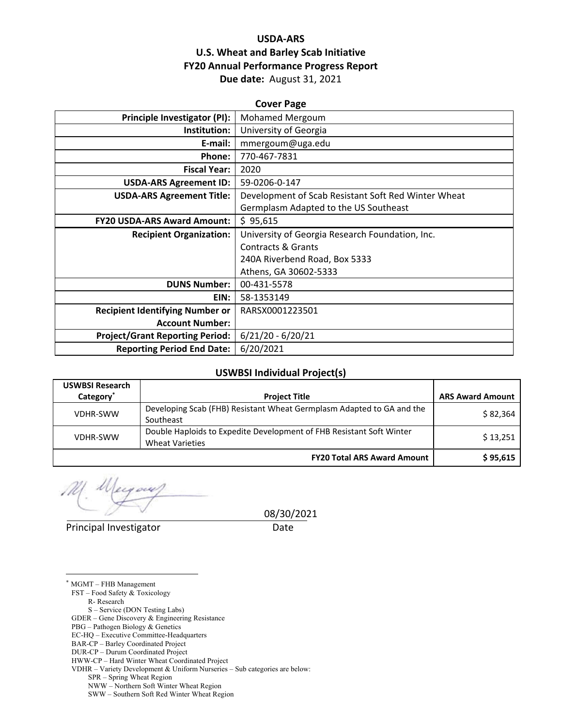# **USDA‐ARS U.S. Wheat and Barley Scab Initiative FY20 Annual Performance Progress Report Due date:** August 31, 2021

| <b>Cover Page</b>                      |                                                     |  |  |
|----------------------------------------|-----------------------------------------------------|--|--|
| Principle Investigator (PI):           | Mohamed Mergoum                                     |  |  |
| Institution:                           | University of Georgia                               |  |  |
| E-mail:                                | mmergoum@uga.edu                                    |  |  |
| Phone:                                 | 770-467-7831                                        |  |  |
| <b>Fiscal Year:</b>                    | 2020                                                |  |  |
| <b>USDA-ARS Agreement ID:</b>          | 59-0206-0-147                                       |  |  |
| <b>USDA-ARS Agreement Title:</b>       | Development of Scab Resistant Soft Red Winter Wheat |  |  |
|                                        | Germplasm Adapted to the US Southeast               |  |  |
| <b>FY20 USDA-ARS Award Amount:</b>     | \$95,615                                            |  |  |
| <b>Recipient Organization:</b>         | University of Georgia Research Foundation, Inc.     |  |  |
|                                        | Contracts & Grants                                  |  |  |
|                                        | 240A Riverbend Road, Box 5333                       |  |  |
|                                        | Athens, GA 30602-5333                               |  |  |
| <b>DUNS Number:</b>                    | 00-431-5578                                         |  |  |
| EIN:                                   | 58-1353149                                          |  |  |
| <b>Recipient Identifying Number or</b> | RARSX0001223501                                     |  |  |
| <b>Account Number:</b>                 |                                                     |  |  |
| <b>Project/Grant Reporting Period:</b> | $6/21/20 - 6/20/21$                                 |  |  |
| <b>Reporting Period End Date:</b>      | 6/20/2021                                           |  |  |

#### **USWBSI Individual Project(s)**

| <b>USWBSI Research</b><br>Category <sup>*</sup> | <b>Project Title</b>                                                                           | <b>ARS Award Amount</b> |
|-------------------------------------------------|------------------------------------------------------------------------------------------------|-------------------------|
| <b>VDHR-SWW</b>                                 | Developing Scab (FHB) Resistant Wheat Germplasm Adapted to GA and the<br>Southeast             | \$82,364                |
| <b>VDHR-SWW</b>                                 | Double Haploids to Expedite Development of FHB Resistant Soft Winter<br><b>Wheat Varieties</b> | \$13,251                |
|                                                 | <b>FY20 Total ARS Award Amount</b>                                                             | \$95,615                |

Principal Investigator **Date** 

 $\overline{a}$ 

08/30/2021

\* MGMT – FHB Management FST – Food Safety & Toxicology R- Research S – Service (DON Testing Labs) GDER – Gene Discovery & Engineering Resistance PBG – Pathogen Biology & Genetics EC-HQ – Executive Committee-Headquarters BAR-CP – Barley Coordinated Project

VDHR – Variety Development & Uniform Nurseries – Sub categories are below:

NWW – Northern Soft Winter Wheat Region

DUR-CP – Durum Coordinated Project

HWW-CP – Hard Winter Wheat Coordinated Project

SPR – Spring Wheat Region

SWW – Southern Soft Red Winter Wheat Region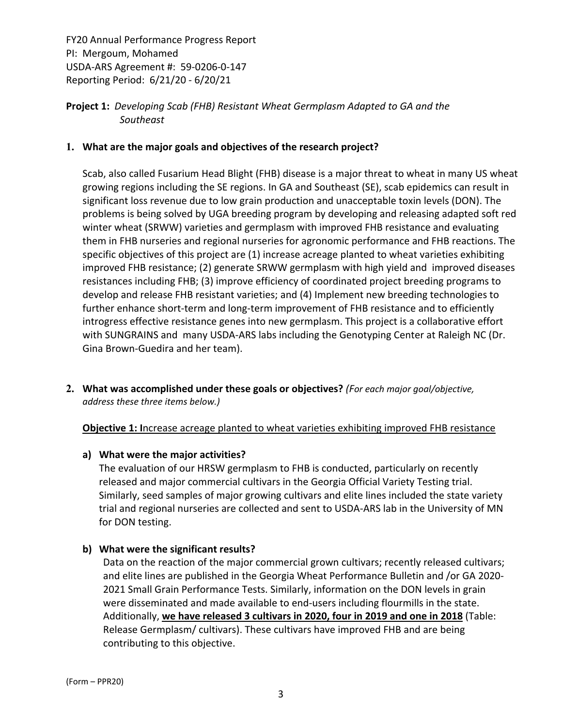# **Project 1:** *Developing Scab (FHB) Resistant Wheat Germplasm Adapted to GA and the Southeast*

## **1. What are the major goals and objectives of the research project?**

Scab, also called Fusarium Head Blight (FHB) disease is a major threat to wheat in many US wheat growing regions including the SE regions. In GA and Southeast (SE), scab epidemics can result in significant loss revenue due to low grain production and unacceptable toxin levels (DON). The problems is being solved by UGA breeding program by developing and releasing adapted soft red winter wheat (SRWW) varieties and germplasm with improved FHB resistance and evaluating them in FHB nurseries and regional nurseries for agronomic performance and FHB reactions. The specific objectives of this project are (1) increase acreage planted to wheat varieties exhibiting improved FHB resistance; (2) generate SRWW germplasm with high yield and improved diseases resistances including FHB; (3) improve efficiency of coordinated project breeding programs to develop and release FHB resistant varieties; and (4) Implement new breeding technologies to further enhance short-term and long-term improvement of FHB resistance and to efficiently introgress effective resistance genes into new germplasm. This project is a collaborative effort with SUNGRAINS and many USDA‐ARS labs including the Genotyping Center at Raleigh NC (Dr. Gina Brown‐Guedira and her team).

**2. What was accomplished under these goals or objectives?** *(For each major goal/objective, address these three items below.)*

#### **Objective 1: I**ncrease acreage planted to wheat varieties exhibiting improved FHB resistance

#### **a) What were the major activities?**

The evaluation of our HRSW germplasm to FHB is conducted, particularly on recently released and major commercial cultivars in the Georgia Official Variety Testing trial. Similarly, seed samples of major growing cultivars and elite lines included the state variety trial and regional nurseries are collected and sent to USDA‐ARS lab in the University of MN for DON testing.

#### **b) What were the significant results?**

Data on the reaction of the major commercial grown cultivars; recently released cultivars; and elite lines are published in the Georgia Wheat Performance Bulletin and /or GA 2020‐ 2021 Small Grain Performance Tests. Similarly, information on the DON levels in grain were disseminated and made available to end‐users including flourmills in the state. Additionally, **we have released 3 cultivars in 2020, four in 2019 and one in 2018** (Table: Release Germplasm/ cultivars). These cultivars have improved FHB and are being contributing to this objective.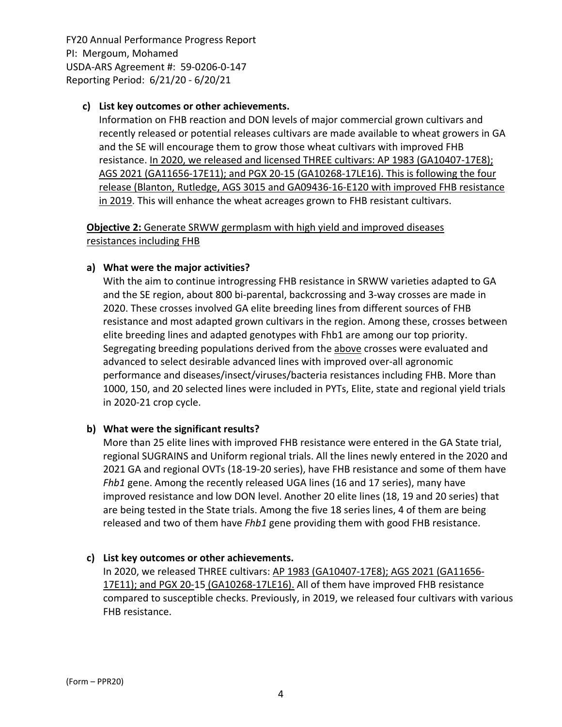## **c) List key outcomes or other achievements.**

Information on FHB reaction and DON levels of major commercial grown cultivars and recently released or potential releases cultivars are made available to wheat growers in GA and the SE will encourage them to grow those wheat cultivars with improved FHB resistance. In 2020, we released and licensed THREE cultivars: AP 1983 (GA10407-17E8); AGS 2021 (GA11656‐17E11); and PGX 20‐15 (GA10268‐17LE16). This is following the four release (Blanton, Rutledge, AGS 3015 and GA09436‐16‐E120 with improved FHB resistance in 2019. This will enhance the wheat acreages grown to FHB resistant cultivars.

**Objective 2:** Generate SRWW germplasm with high yield and improved diseases resistances including FHB

## **a) What were the major activities?**

With the aim to continue introgressing FHB resistance in SRWW varieties adapted to GA and the SE region, about 800 bi‐parental, backcrossing and 3‐way crosses are made in 2020. These crosses involved GA elite breeding lines from different sources of FHB resistance and most adapted grown cultivars in the region. Among these, crosses between elite breeding lines and adapted genotypes with Fhb1 are among our top priority. Segregating breeding populations derived from the above crosses were evaluated and advanced to select desirable advanced lines with improved over‐all agronomic performance and diseases/insect/viruses/bacteria resistances including FHB. More than 1000, 150, and 20 selected lines were included in PYTs, Elite, state and regional yield trials in 2020‐21 crop cycle.

# **b) What were the significant results?**

More than 25 elite lines with improved FHB resistance were entered in the GA State trial, regional SUGRAINS and Uniform regional trials. All the lines newly entered in the 2020 and 2021 GA and regional OVTs (18‐19‐20 series), have FHB resistance and some of them have *Fhb1* gene. Among the recently released UGA lines (16 and 17 series), many have improved resistance and low DON level. Another 20 elite lines (18, 19 and 20 series) that are being tested in the State trials. Among the five 18 series lines, 4 of them are being released and two of them have *Fhb1* gene providing them with good FHB resistance.

#### **c) List key outcomes or other achievements.**

In 2020, we released THREE cultivars: AP 1983 (GA10407‐17E8); AGS 2021 (GA11656‐ 17E11); and PGX 20‐15 (GA10268‐17LE16). All of them have improved FHB resistance compared to susceptible checks. Previously, in 2019, we released four cultivars with various FHB resistance.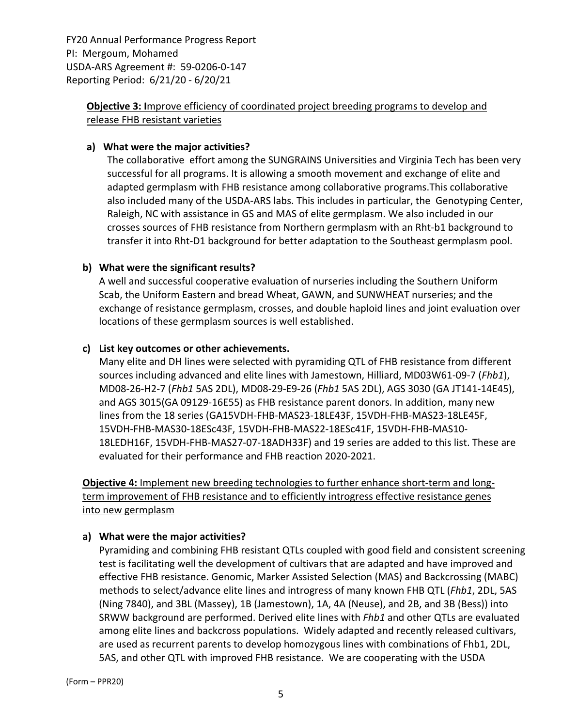# **Objective 3: I**mprove efficiency of coordinated project breeding programs to develop and release FHB resistant varieties

## **a) What were the major activities?**

The collaborative effort among the SUNGRAINS Universities and Virginia Tech has been very successful for all programs. It is allowing a smooth movement and exchange of elite and adapted germplasm with FHB resistance among collaborative programs.This collaborative also included many of the USDA‐ARS labs. This includes in particular, the Genotyping Center, Raleigh, NC with assistance in GS and MAS of elite germplasm. We also included in our crosses sources of FHB resistance from Northern germplasm with an Rht‐b1 background to transfer it into Rht‐D1 background for better adaptation to the Southeast germplasm pool.

## **b) What were the significant results?**

A well and successful cooperative evaluation of nurseries including the Southern Uniform Scab, the Uniform Eastern and bread Wheat, GAWN, and SUNWHEAT nurseries; and the exchange of resistance germplasm, crosses, and double haploid lines and joint evaluation over locations of these germplasm sources is well established.

## **c) List key outcomes or other achievements.**

Many elite and DH lines were selected with pyramiding QTL of FHB resistance from different sources including advanced and elite lines with Jamestown, Hilliard, MD03W61‐09‐7 (*Fhb1*), MD08‐26‐H2‐7 (*Fhb1* 5AS 2DL), MD08‐29‐E9‐26 (*Fhb1* 5AS 2DL), AGS 3030 (GA JT141‐14E45), and AGS 3015(GA 09129‐16E55) as FHB resistance parent donors. In addition, many new lines from the 18 series (GA15VDH‐FHB‐MAS23‐18LE43F, 15VDH‐FHB‐MAS23‐18LE45F, 15VDH‐FHB‐MAS30‐18ESc43F, 15VDH‐FHB‐MAS22‐18ESc41F, 15VDH‐FHB‐MAS10‐ 18LEDH16F, 15VDH‐FHB‐MAS27‐07‐18ADH33F) and 19 series are added to this list. These are evaluated for their performance and FHB reaction 2020‐2021.

**Objective 4:** Implement new breeding technologies to further enhance short‐term and long‐ term improvement of FHB resistance and to efficiently introgress effective resistance genes into new germplasm

# **a) What were the major activities?**

Pyramiding and combining FHB resistant QTLs coupled with good field and consistent screening test is facilitating well the development of cultivars that are adapted and have improved and effective FHB resistance. Genomic, Marker Assisted Selection (MAS) and Backcrossing (MABC) methods to select/advance elite lines and introgress of many known FHB QTL (*Fhb1*, 2DL, 5AS (Ning 7840), and 3BL (Massey), 1B (Jamestown), 1A, 4A (Neuse), and 2B, and 3B (Bess)) into SRWW background are performed. Derived elite lines with *Fhb1* and other QTLs are evaluated among elite lines and backcross populations. Widely adapted and recently released cultivars, are used as recurrent parents to develop homozygous lines with combinations of Fhb1, 2DL, 5AS, and other QTL with improved FHB resistance. We are cooperating with the USDA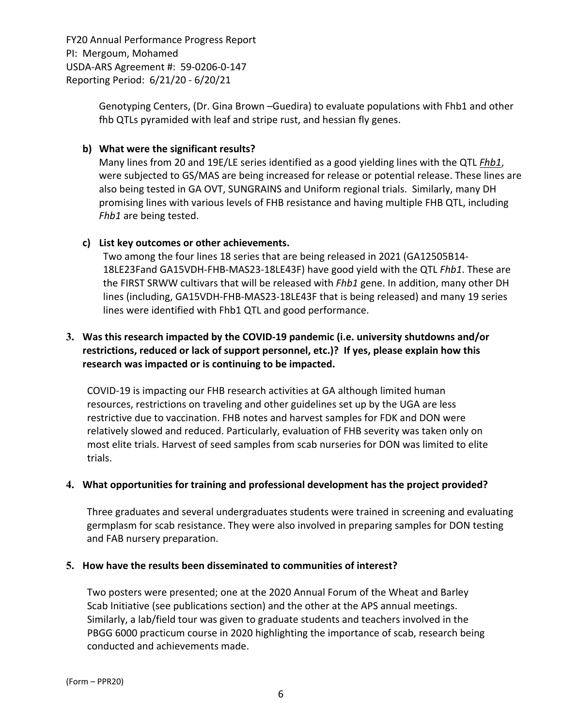> Genotyping Centers, (Dr. Gina Brown –Guedira) to evaluate populations with Fhb1 and other fhb QTLs pyramided with leaf and stripe rust, and hessian fly genes.

## **b) What were the significant results?**

Many lines from 20 and 19E/LE series identified as a good yielding lines with the QTL *Fhb1*, were subjected to GS/MAS are being increased for release or potential release. These lines are also being tested in GA OVT, SUNGRAINS and Uniform regional trials. Similarly, many DH promising lines with various levels of FHB resistance and having multiple FHB QTL, including *Fhb1* are being tested.

## **c) List key outcomes or other achievements.**

Two among the four lines 18 series that are being released in 2021 (GA12505B14‐ 18LE23Fand GA15VDH‐FHB‐MAS23‐18LE43F) have good yield with the QTL *Fhb1*. These are the FIRST SRWW cultivars that will be released with *Fhb1* gene. In addition, many other DH lines (including, GA15VDH‐FHB‐MAS23‐18LE43F that is being released) and many 19 series lines were identified with Fhb1 QTL and good performance.

# **3. Was this research impacted by the COVID‐19 pandemic (i.e. university shutdowns and/or restrictions, reduced or lack of support personnel, etc.)? If yes, please explain how this research was impacted or is continuing to be impacted.**

COVID‐19 is impacting our FHB research activities at GA although limited human resources, restrictions on traveling and other guidelines set up by the UGA are less restrictive due to vaccination. FHB notes and harvest samples for FDK and DON were relatively slowed and reduced. Particularly, evaluation of FHB severity was taken only on most elite trials. Harvest of seed samples from scab nurseries for DON was limited to elite trials.

# **4. What opportunities for training and professional development has the project provided?**

Three graduates and several undergraduates students were trained in screening and evaluating germplasm for scab resistance. They were also involved in preparing samples for DON testing and FAB nursery preparation.

#### **5. How have the results been disseminated to communities of interest?**

Two posters were presented; one at the 2020 Annual Forum of the Wheat and Barley Scab Initiative (see publications section) and the other at the APS annual meetings. Similarly, a lab/field tour was given to graduate students and teachers involved in the PBGG 6000 practicum course in 2020 highlighting the importance of scab, research being conducted and achievements made.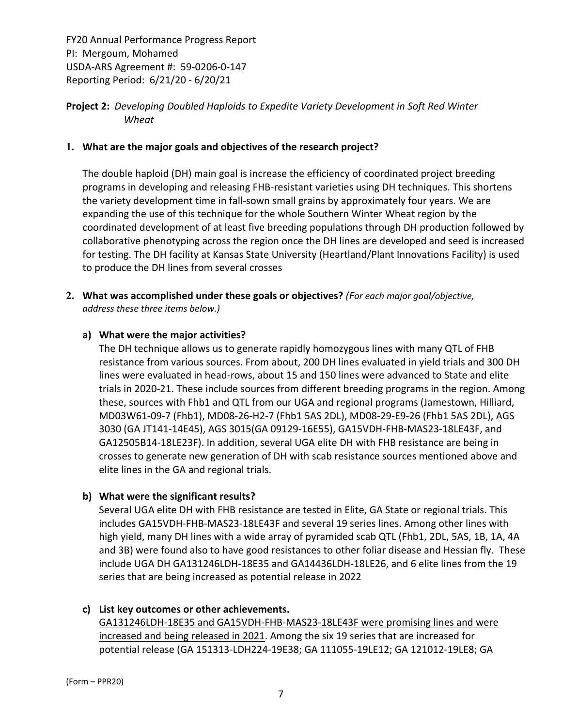# **Project 2:** *Developing Doubled Haploids to Expedite Variety Development in Soft Red Winter Wheat*

## **1. What are the major goals and objectives of the research project?**

The double haploid (DH) main goal is increase the efficiency of coordinated project breeding programs in developing and releasing FHB‐resistant varieties using DH techniques. This shortens the variety development time in fall‐sown small grains by approximately four years. We are expanding the use of this technique for the whole Southern Winter Wheat region by the coordinated development of at least five breeding populations through DH production followed by collaborative phenotyping across the region once the DH lines are developed and seed is increased for testing. The DH facility at Kansas State University (Heartland/Plant Innovations Facility) is used to produce the DH lines from several crosses

**2. What was accomplished under these goals or objectives?** *(For each major goal/objective, address these three items below.)*

## **a) What were the major activities?**

The DH technique allows us to generate rapidly homozygous lines with many QTL of FHB resistance from various sources. From about, 200 DH lines evaluated in yield trials and 300 DH lines were evaluated in head‐rows, about 15 and 150 lines were advanced to State and elite trials in 2020‐21. These include sources from different breeding programs in the region. Among these, sources with Fhb1 and QTL from our UGA and regional programs (Jamestown, Hilliard, MD03W61‐09‐7 (Fhb1), MD08‐26‐H2‐7 (Fhb1 5AS 2DL), MD08‐29‐E9‐26 (Fhb1 5AS 2DL), AGS 3030 (GA JT141‐14E45), AGS 3015(GA 09129‐16E55), GA15VDH‐FHB‐MAS23‐18LE43F, and GA12505B14‐18LE23F). In addition, several UGA elite DH with FHB resistance are being in crosses to generate new generation of DH with scab resistance sources mentioned above and elite lines in the GA and regional trials.

# **b) What were the significant results?**

Several UGA elite DH with FHB resistance are tested in Elite, GA State or regional trials. This includes GA15VDH‐FHB‐MAS23‐18LE43F and several 19 series lines. Among other lines with high yield, many DH lines with a wide array of pyramided scab QTL (Fhb1, 2DL, 5AS, 1B, 1A, 4A and 3B) were found also to have good resistances to other foliar disease and Hessian fly. These include UGA DH GA131246LDH‐18E35 and GA14436LDH‐18LE26, and 6 elite lines from the 19 series that are being increased as potential release in 2022

#### **c) List key outcomes or other achievements.**

GA131246LDH‐18E35 and GA15VDH‐FHB‐MAS23‐18LE43F were promising lines and were increased and being released in 2021. Among the six 19 series that are increased for potential release (GA 151313‐LDH224‐19E38; GA 111055‐19LE12; GA 121012‐19LE8; GA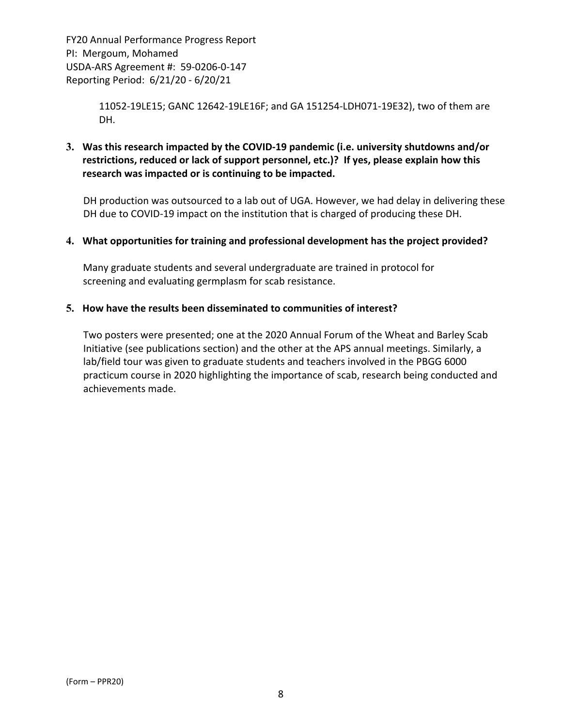> 11052‐19LE15; GANC 12642‐19LE16F; and GA 151254‐LDH071‐19E32), two of them are DH.

**3. Was this research impacted by the COVID‐19 pandemic (i.e. university shutdowns and/or restrictions, reduced or lack of support personnel, etc.)? If yes, please explain how this research was impacted or is continuing to be impacted.**

DH production was outsourced to a lab out of UGA. However, we had delay in delivering these DH due to COVID‐19 impact on the institution that is charged of producing these DH.

# **4. What opportunities for training and professional development has the project provided?**

Many graduate students and several undergraduate are trained in protocol for screening and evaluating germplasm for scab resistance.

#### **5. How have the results been disseminated to communities of interest?**

Two posters were presented; one at the 2020 Annual Forum of the Wheat and Barley Scab Initiative (see publications section) and the other at the APS annual meetings. Similarly, a lab/field tour was given to graduate students and teachers involved in the PBGG 6000 practicum course in 2020 highlighting the importance of scab, research being conducted and achievements made.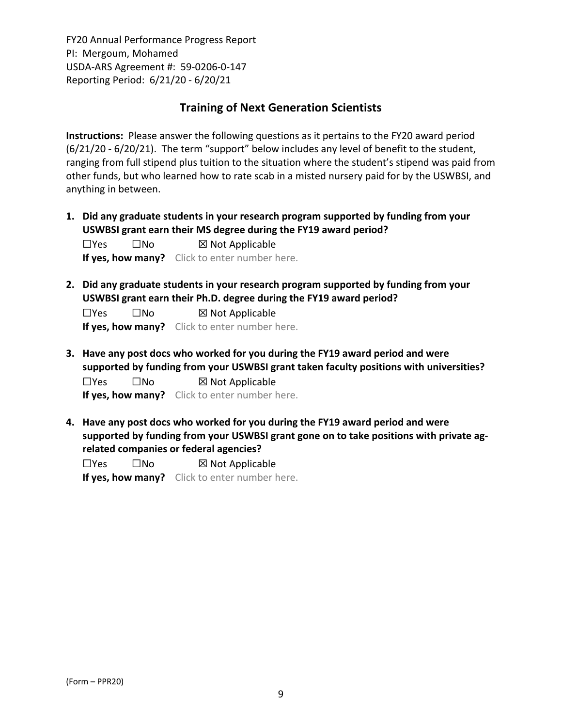# **Training of Next Generation Scientists**

**Instructions:** Please answer the following questions as it pertains to the FY20 award period (6/21/20 ‐ 6/20/21). The term "support" below includes any level of benefit to the student, ranging from full stipend plus tuition to the situation where the student's stipend was paid from other funds, but who learned how to rate scab in a misted nursery paid for by the USWBSI, and anything in between.

**1. Did any graduate students in your research program supported by funding from your USWBSI grant earn their MS degree during the FY19 award period?**

☐Yes ☐No ☒ Not Applicable **If yes, how many?** Click to enter number here.

**2. Did any graduate students in your research program supported by funding from your USWBSI grant earn their Ph.D. degree during the FY19 award period?**

| $\Box$ Yes | $\square$ No      | $\boxtimes$ Not Applicable |  |  |
|------------|-------------------|----------------------------|--|--|
|            | If yes, how many? | Click to enter number here |  |  |

**3. Have any post docs who worked for you during the FY19 award period and were supported by funding from your USWBSI grant taken faculty positions with universities?**

 $\square$ Yes  $\square$ No  $\square$  Not Applicable **If yes, how many?** Click to enter number here.

**4. Have any post docs who worked for you during the FY19 award period and were supported by funding from your USWBSI grant gone on to take positions with private ag‐ related companies or federal agencies?**

| $\Box$ Yes | $\square$ No | $\boxtimes$ Not Applicable                    |  |  |
|------------|--------------|-----------------------------------------------|--|--|
|            |              | If yes, how many? Click to enter number here. |  |  |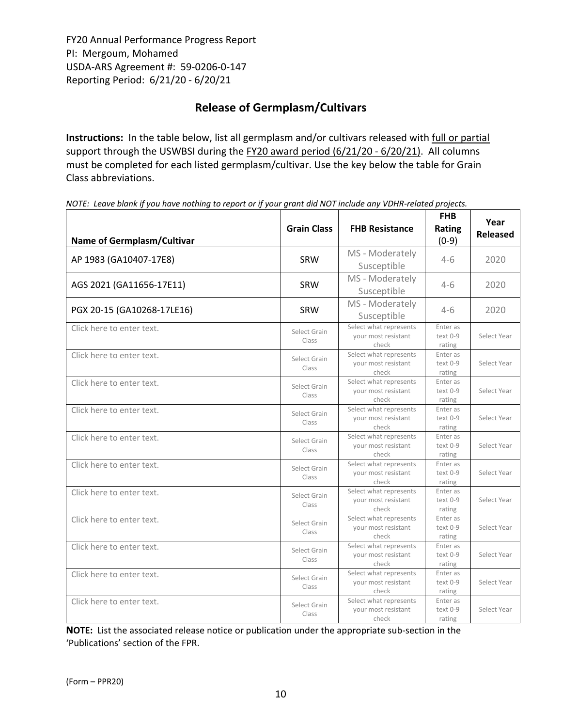# **Release of Germplasm/Cultivars**

**Instructions:** In the table below, list all germplasm and/or cultivars released with full or partial support through the USWBSI during the FY20 award period (6/21/20 - 6/20/21). All columns must be completed for each listed germplasm/cultivar. Use the key below the table for Grain Class abbreviations. 

| <b>Name of Germplasm/Cultivar</b> | <b>Grain Class</b>    | <b>FHB Resistance</b>                                  | <b>FHB</b><br>Rating<br>$(0-9)$ | Year<br><b>Released</b> |
|-----------------------------------|-----------------------|--------------------------------------------------------|---------------------------------|-------------------------|
| AP 1983 (GA10407-17E8)            | <b>SRW</b>            | MS - Moderately<br>Susceptible                         | $4-6$                           | 2020                    |
| AGS 2021 (GA11656-17E11)          | <b>SRW</b>            | MS - Moderately<br>Susceptible                         | $4-6$                           | 2020                    |
| PGX 20-15 (GA10268-17LE16)        | <b>SRW</b>            | MS - Moderately<br>Susceptible                         | $4-6$                           | 2020                    |
| Click here to enter text.         | Select Grain<br>Class | Select what represents<br>your most resistant<br>check | Enter as<br>text 0-9<br>rating  | Select Year             |
| Click here to enter text.         | Select Grain<br>Class | Select what represents<br>your most resistant<br>check | Enter as<br>text 0-9<br>rating  | Select Year             |
| Click here to enter text.         | Select Grain<br>Class | Select what represents<br>your most resistant<br>check | Enter as<br>text 0-9<br>rating  | Select Year             |
| Click here to enter text.         | Select Grain<br>Class | Select what represents<br>your most resistant<br>check | Enter as<br>text 0-9<br>rating  | Select Year             |
| Click here to enter text.         | Select Grain<br>Class | Select what represents<br>your most resistant<br>check | Enter as<br>text 0-9<br>rating  | Select Year             |
| Click here to enter text.         | Select Grain<br>Class | Select what represents<br>your most resistant<br>check | Enter as<br>text 0-9<br>rating  | Select Year             |
| Click here to enter text.         | Select Grain<br>Class | Select what represents<br>your most resistant<br>check | Enter as<br>text 0-9<br>rating  | Select Year             |
| Click here to enter text.         | Select Grain<br>Class | Select what represents<br>your most resistant<br>check | Enter as<br>text 0-9<br>rating  | Select Year             |
| Click here to enter text.         | Select Grain<br>Class | Select what represents<br>your most resistant<br>check | Enter as<br>text 0-9<br>rating  | Select Year             |
| Click here to enter text.         | Select Grain<br>Class | Select what represents<br>your most resistant<br>check | Enter as<br>text 0-9<br>rating  | Select Year             |
| Click here to enter text.         | Select Grain<br>Class | Select what represents<br>your most resistant<br>check | Enter as<br>text 0-9<br>rating  | Select Year             |

NOTE: Leave blank if you have nothing to report or if your grant did NOT include any VDHR-related projects.

**NOTE:** List the associated release notice or publication under the appropriate sub-section in the 'Publications' section of the FPR.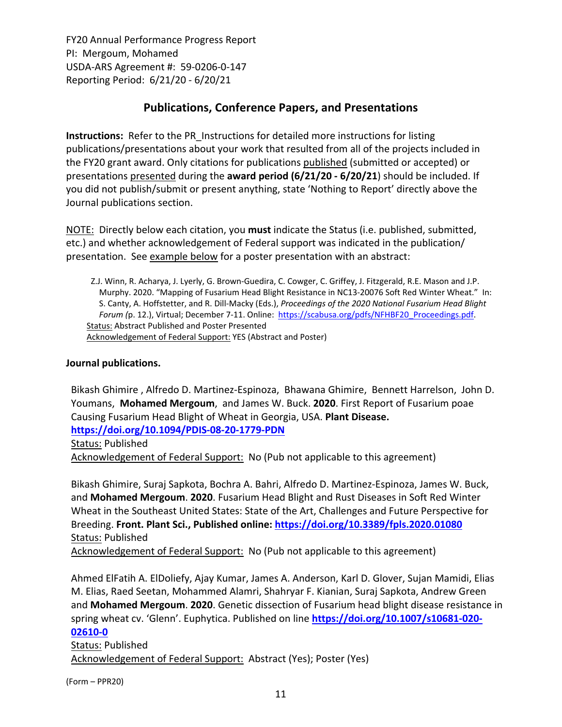# **Publications, Conference Papers, and Presentations**

**Instructions:** Refer to the PR\_Instructions for detailed more instructions for listing publications/presentations about your work that resulted from all of the projects included in the FY20 grant award. Only citations for publications published (submitted or accepted) or presentations presented during the **award period (6/21/20 ‐ 6/20/21**) should be included. If you did not publish/submit or present anything, state 'Nothing to Report' directly above the Journal publications section.

NOTE: Directly below each citation, you **must** indicate the Status (i.e. published, submitted, etc.) and whether acknowledgement of Federal support was indicated in the publication/ presentation. See example below for a poster presentation with an abstract:

Z.J. Winn, R. Acharya, J. Lyerly, G. Brown‐Guedira, C. Cowger, C. Griffey, J. Fitzgerald, R.E. Mason and J.P. Murphy. 2020. "Mapping of Fusarium Head Blight Resistance in NC13‐20076 Soft Red Winter Wheat." In: S. Canty, A. Hoffstetter, and R. Dill‐Macky (Eds.), *Proceedings of the 2020 National Fusarium Head Blight Forum (*p. 12.), Virtual; December 7‐11. Online: https://scabusa.org/pdfs/NFHBF20\_Proceedings.pdf. Status: Abstract Published and Poster Presented Acknowledgement of Federal Support: YES (Abstract and Poster)

# **Journal publications.**

Bikash Ghimire , Alfredo D. Martinez‐Espinoza, Bhawana Ghimire, Bennett Harrelson, John D. Youmans, **Mohamed Mergoum**, and James W. Buck. **2020**. First Report of Fusarium poae Causing Fusarium Head Blight of Wheat in Georgia, USA. **Plant Disease. https://doi.org/10.1094/PDIS‐08‐20‐1779‐PDN** Status: Published Acknowledgement of Federal Support: No (Pub not applicable to this agreement)

Bikash Ghimire, Suraj Sapkota, Bochra A. Bahri, Alfredo D. Martinez‐Espinoza, James W. Buck, and **Mohamed Mergoum**. **2020**. Fusarium Head Blight and Rust Diseases in Soft Red Winter Wheat in the Southeast United States: State of the Art, Challenges and Future Perspective for Breeding. **Front. Plant Sci., Published online: https://doi.org/10.3389/fpls.2020.01080** Status: Published

Acknowledgement of Federal Support: No (Pub not applicable to this agreement)

Ahmed ElFatih A. ElDoliefy, Ajay Kumar, James A. Anderson, Karl D. Glover, Sujan Mamidi, Elias M. Elias, Raed Seetan, Mohammed Alamri, Shahryar F. Kianian, Suraj Sapkota, Andrew Green and **Mohamed Mergoum**. **2020**. Genetic dissection of Fusarium head blight disease resistance in spring wheat cv. 'Glenn'. Euphytica. Published on line **https://doi.org/10.1007/s10681‐020‐ 02610‐0**

Status: Published Acknowledgement of Federal Support: Abstract (Yes); Poster (Yes)

(Form – PPR20)